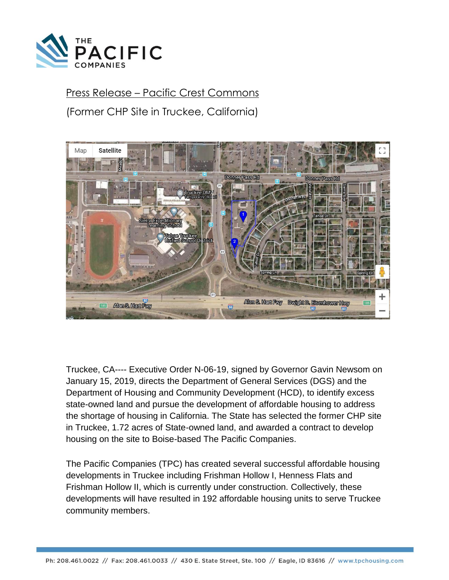

## Press Release – Pacific Crest Commons

(Former CHP Site in Truckee, California)



Truckee, CA---- Executive Order N-06-19, signed by Governor Gavin Newsom on January 15, 2019, directs the Department of General Services (DGS) and the Department of Housing and Community Development (HCD), to identify excess state-owned land and pursue the development of affordable housing to address the shortage of housing in California. The State has selected the former CHP site in Truckee, 1.72 acres of State-owned land, and awarded a contract to develop housing on the site to Boise-based The Pacific Companies.

The Pacific Companies (TPC) has created several successful affordable housing developments in Truckee including Frishman Hollow I, Henness Flats and Frishman Hollow II, which is currently under construction. Collectively, these developments will have resulted in 192 affordable housing units to serve Truckee community members.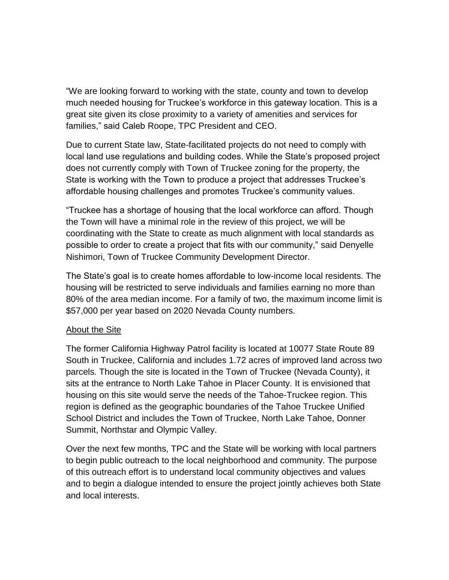"We are looking forward to working with the state, county and town to develop much needed housing for Truckee's workforce in this gateway location. This is a great site given its close proximity to a variety of amenities and services for families," said Caleb Roope, TPC President and CEO.

Due to current State law, State-facilitated projects do not need to comply with local land use regulations and building codes. While the State's proposed project does not currently comply with Town of Truckee zoning for the property, the State is working with the Town to produce a project that addresses Truckee's affordable housing challenges and promotes Truckee's community values.

"Truckee has a shortage of housing that the local workforce can afford. Though the Town will have a minimal role in the review of this project, we will be coordinating with the State to create as much alignment with local standards as possible to order to create a project that fits with our community," said Denyelle Nishimori, Town of Truckee Community Development Director.

The State's goal is to create homes affordable to low-income local residents. The housing will be restricted to serve individuals and families earning no more than 80% of the area median income. For a family of two, the maximum income limit is \$57,000 per year based on 2020 Nevada County numbers.

## **About the Site**

The former California Highway Patrol facility is located at 10077 State Route 89 South in Truckee, California and includes 1.72 acres of improved land across two parcels. Though the site is located in the Town of Truckee (Nevada County), it sits at the entrance to North Lake Tahoe in Placer County. It is envisioned that housing on this site would serve the needs of the Tahoe-Truckee region. This region is defined as the geographic boundaries of the Tahoe Truckee Unified School District and includes the Town of Truckee, North Lake Tahoe, Donner Summit, Northstar and Olympic Valley.

Over the next few months, TPC and the State will be working with local partners to begin public outreach to the local neighborhood and community. The purpose of this outreach effort is to understand local community objectives and values and to begin a dialogue intended to ensure the project jointly achieves both State and local interests.